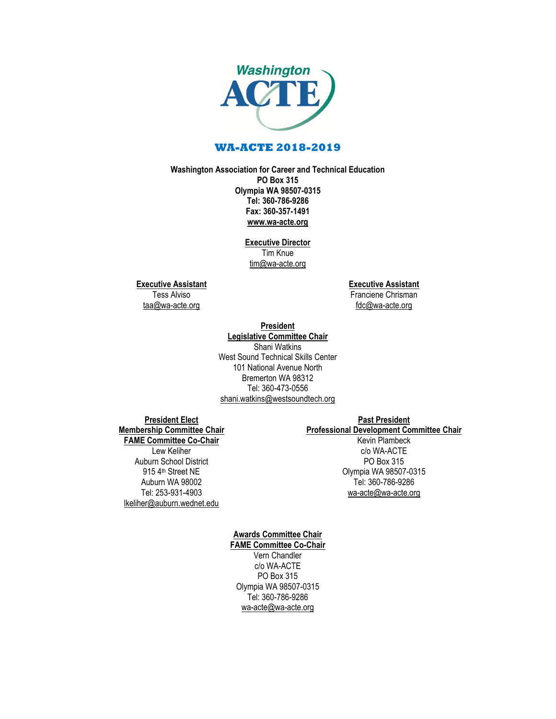

## **WA-ACTE 2018-2019**

#### **Washington Association for Career and Technical Education PO Box 315 Olympia WA 98507-0315 Tel: 360-786-9286 Fax: 360-357-1491 [www.wa-acte.org](http://www.wa-acte.org/)**

**Executive Director** Tim Knue [tim@wa-acte.org](mailto:tim@wa-acte.org)

**Executive Assistant**

Tess Alviso [taa@wa-acte.org](mailto:taa@wa-acte.org) **Executive Assistant** Franciene Chrisman [fdc@wa-acte.org](mailto:fdc@wa-acte.org)

#### **President Legislative Committee Chair** Shani Watkins West Sound Technical Skills Center 101 National Avenue North Bremerton WA 98312 Tel: 360-473-0556 [shani.watkins@westsoundtech.org](mailto:shani.watkins@westsoundtech.org)

**President Elect Membership Committee Chair FAME Committee Co-Chair** Lew Keliher Auburn School District 915 4<sup>th</sup> Street NE Auburn WA 98002 Tel: 253-931-4903 [lkeliher@auburn.wednet.edu](mailto:lkeliher@auburn.wednet.edu)

# **Past President Professional Development Committee Chair**

Kevin Plambeck c/o WA-ACTE PO Box 315 Olympia WA 98507-0315 Tel: 360-786-9286 [wa-acte@wa-acte.org](mailto:wa-acte@wa-acte.org)

#### **Awards Committee Chair FAME Committee Co-Chair** Vern Chandler c/o WA-ACTE PO Box 315 Olympia WA 98507-0315 Tel: 360-786-9286 [wa-acte@wa-acte.org](mailto:wa-acte@wa-acte.org)